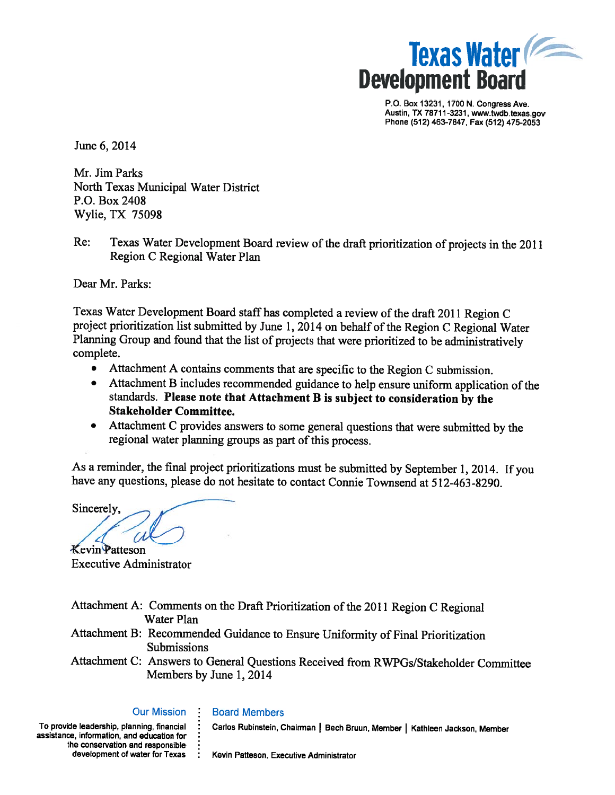

P.O. Box 13231, 1700 N. Congress Ave. Austin, TX 78711-3231, www.twdb.texas.gov Phone (512) 463-7847, Fax (512) 475-2053

June 6, 2014

Mr. Jim Parks North Texas Municipal Water District P.O. Box 2408 Wylie, TX 75098

Texas Water Development Board review of the draft prioritization of projects in the 2011  $Re:$ Region C Regional Water Plan

Dear Mr. Parks:

Texas Water Development Board staff has completed a review of the draft 2011 Region C project prioritization list submitted by June 1, 2014 on behalf of the Region C Regional Water Planning Group and found that the list of projects that were prioritized to be administratively complete.

- $\bullet$ Attachment A contains comments that are specific to the Region C submission.
- Attachment B includes recommended guidance to help ensure uniform application of the standards. Please note that Attachment B is subject to consideration by the **Stakeholder Committee.**
- Attachment C provides answers to some general questions that were submitted by the regional water planning groups as part of this process.

As a reminder, the final project prioritizations must be submitted by September 1, 2014. If you have any questions, please do not hesitate to contact Connie Townsend at 512-463-8290.

Sincerely.

**Kevin Patteson Executive Administrator** 

| Attachment A: Comments on the Draft Prioritization of the 2011 Region C Regional     |
|--------------------------------------------------------------------------------------|
| Water Plan                                                                           |
| Attachment B: Recommended Guidance to Ensure Uniformity of Final Prioritization      |
| <b>Submissions</b>                                                                   |
| Attachment C: Answers to General Questions Received from RWPGs/Stakeholder Committee |
| Members by June 1, 2014                                                              |

#### **Our Mission**

**Board Members** 

To provide leadership, planning, financial assistance, information, and education for the conservation and responsible development of water for Texas Carlos Rubinstein, Chairman | Bech Bruun, Member | Kathleen Jackson, Member

Kevin Patteson, Executive Administrator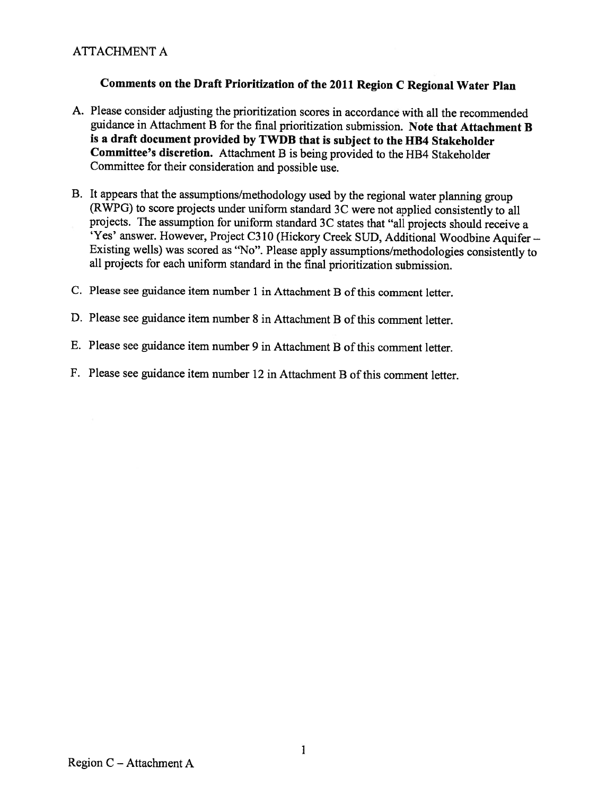# **ATTACHMENT A**

# Comments on the Draft Prioritization of the 2011 Region C Regional Water Plan

- A. Please consider adjusting the prioritization scores in accordance with all the recommended guidance in Attachment B for the final prioritization submission. Note that Attachment B is a draft document provided by TWDB that is subject to the HB4 Stakeholder **Committee's discretion.** Attachment B is being provided to the HB4 Stakeholder Committee for their consideration and possible use.
- B. It appears that the assumptions/methodology used by the regional water planning group (RWPG) to score projects under uniform standard 3C were not applied consistently to all projects. The assumption for uniform standard 3C states that "all projects should receive a 'Yes' answer. However, Project C310 (Hickory Creek SUD, Additional Woodbine Aquifer -Existing wells) was scored as "No". Please apply assumptions/methodologies consistently to all projects for each uniform standard in the final prioritization submission.
- C. Please see guidance item number 1 in Attachment B of this comment letter.
- D. Please see guidance item number 8 in Attachment B of this comment letter.
- E. Please see guidance item number 9 in Attachment B of this comment letter.
- F. Please see guidance item number 12 in Attachment B of this comment letter.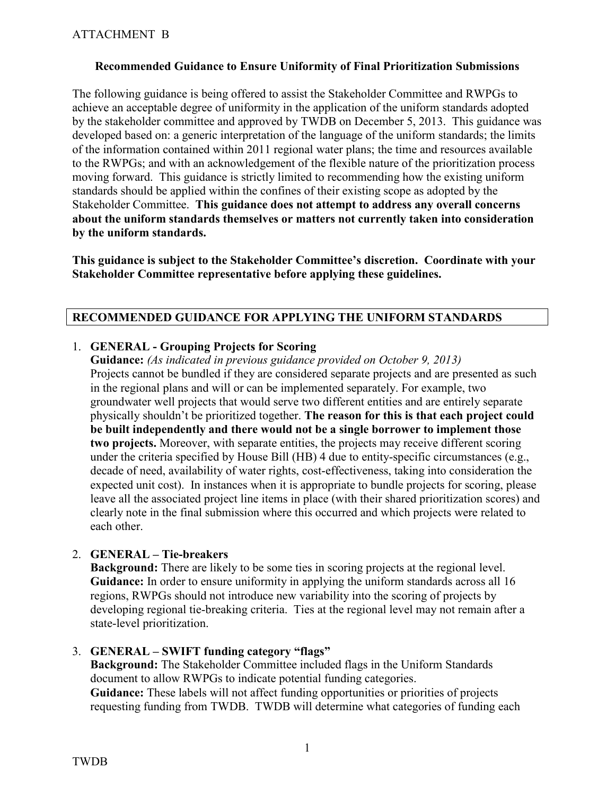### **Recommended Guidance to Ensure Uniformity of Final Prioritization Submissions**

The following guidance is being offered to assist the Stakeholder Committee and RWPGs to achieve an acceptable degree of uniformity in the application of the uniform standards adopted by the stakeholder committee and approved by TWDB on December 5, 2013. This guidance was developed based on: a generic interpretation of the language of the uniform standards; the limits of the information contained within 2011 regional water plans; the time and resources available to the RWPGs; and with an acknowledgement of the flexible nature of the prioritization process moving forward. This guidance is strictly limited to recommending how the existing uniform standards should be applied within the confines of their existing scope as adopted by the Stakeholder Committee. **This guidance does not attempt to address any overall concerns about the uniform standards themselves or matters not currently taken into consideration by the uniform standards.** 

**This guidance is subject to the Stakeholder Committee's discretion. Coordinate with your Stakeholder Committee representative before applying these guidelines.** 

## **RECOMMENDED GUIDANCE FOR APPLYING THE UNIFORM STANDARDS**

### 1. **GENERAL - Grouping Projects for Scoring**

**Guidance:** *(As indicated in previous guidance provided on October 9, 2013)*  Projects cannot be bundled if they are considered separate projects and are presented as such in the regional plans and will or can be implemented separately. For example, two groundwater well projects that would serve two different entities and are entirely separate physically shouldn't be prioritized together. **The reason for this is that each project could be built independently and there would not be a single borrower to implement those two projects.** Moreover, with separate entities, the projects may receive different scoring under the criteria specified by House Bill (HB) 4 due to entity-specific circumstances (e.g., decade of need, availability of water rights, cost-effectiveness, taking into consideration the expected unit cost). In instances when it is appropriate to bundle projects for scoring, please leave all the associated project line items in place (with their shared prioritization scores) and clearly note in the final submission where this occurred and which projects were related to each other.

## 2. **GENERAL – Tie-breakers**

**Background:** There are likely to be some ties in scoring projects at the regional level. **Guidance:** In order to ensure uniformity in applying the uniform standards across all 16 regions, RWPGs should not introduce new variability into the scoring of projects by developing regional tie-breaking criteria. Ties at the regional level may not remain after a state-level prioritization.

#### 3. **GENERAL – SWIFT funding category "flags"**

**Background:** The Stakeholder Committee included flags in the Uniform Standards document to allow RWPGs to indicate potential funding categories. **Guidance:** These labels will not affect funding opportunities or priorities of projects requesting funding from TWDB. TWDB will determine what categories of funding each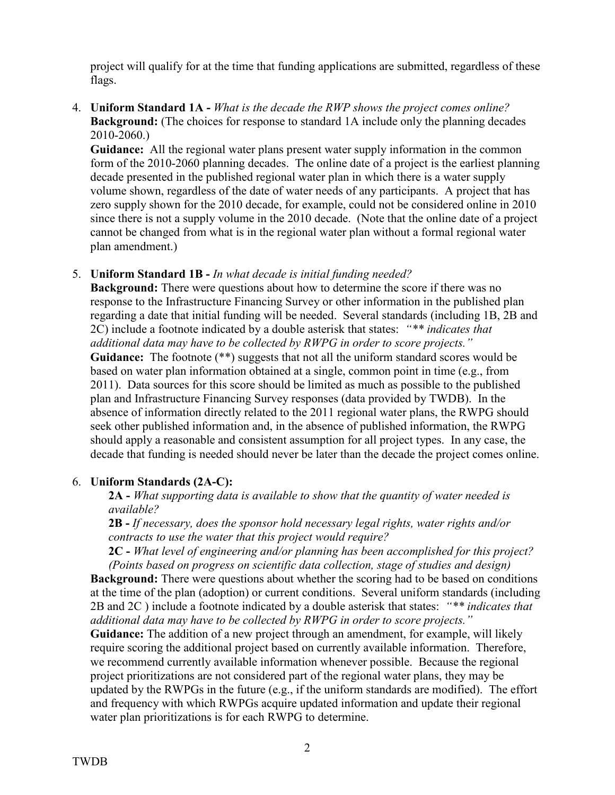project will qualify for at the time that funding applications are submitted, regardless of these flags.

## 4. **Uniform Standard 1A -** *What is the decade the RWP shows the project comes online?* **Background:** (The choices for response to standard 1A include only the planning decades 2010-2060.)

**Guidance:** All the regional water plans present water supply information in the common form of the 2010-2060 planning decades. The online date of a project is the earliest planning decade presented in the published regional water plan in which there is a water supply volume shown, regardless of the date of water needs of any participants. A project that has zero supply shown for the 2010 decade, for example, could not be considered online in 2010 since there is not a supply volume in the 2010 decade. (Note that the online date of a project cannot be changed from what is in the regional water plan without a formal regional water plan amendment.)

## 5. **Uniform Standard 1B -** *In what decade is initial funding needed?*

**Background:** There were questions about how to determine the score if there was no response to the Infrastructure Financing Survey or other information in the published plan regarding a date that initial funding will be needed. Several standards (including 1B, 2B and 2C) include a footnote indicated by a double asterisk that states: *"\*\* indicates that additional data may have to be collected by RWPG in order to score projects."* Guidance: The footnote (\*\*) suggests that not all the uniform standard scores would be based on water plan information obtained at a single, common point in time (e.g., from 2011). Data sources for this score should be limited as much as possible to the published plan and Infrastructure Financing Survey responses (data provided by TWDB). In the absence of information directly related to the 2011 regional water plans, the RWPG should seek other published information and, in the absence of published information, the RWPG should apply a reasonable and consistent assumption for all project types. In any case, the decade that funding is needed should never be later than the decade the project comes online.

## 6. **Uniform Standards (2A-C):**

**2A -** *What supporting data is available to show that the quantity of water needed is available?*

**2B -** *If necessary, does the sponsor hold necessary legal rights, water rights and/or contracts to use the water that this project would require?*

**2C -** *What level of engineering and/or planning has been accomplished for this project? (Points based on progress on scientific data collection, stage of studies and design)*

**Background:** There were questions about whether the scoring had to be based on conditions at the time of the plan (adoption) or current conditions. Several uniform standards (including 2B and 2C ) include a footnote indicated by a double asterisk that states: *"\*\* indicates that additional data may have to be collected by RWPG in order to score projects."*

**Guidance:** The addition of a new project through an amendment, for example, will likely require scoring the additional project based on currently available information. Therefore, we recommend currently available information whenever possible. Because the regional project prioritizations are not considered part of the regional water plans, they may be updated by the RWPGs in the future (e.g., if the uniform standards are modified). The effort and frequency with which RWPGs acquire updated information and update their regional water plan prioritizations is for each RWPG to determine.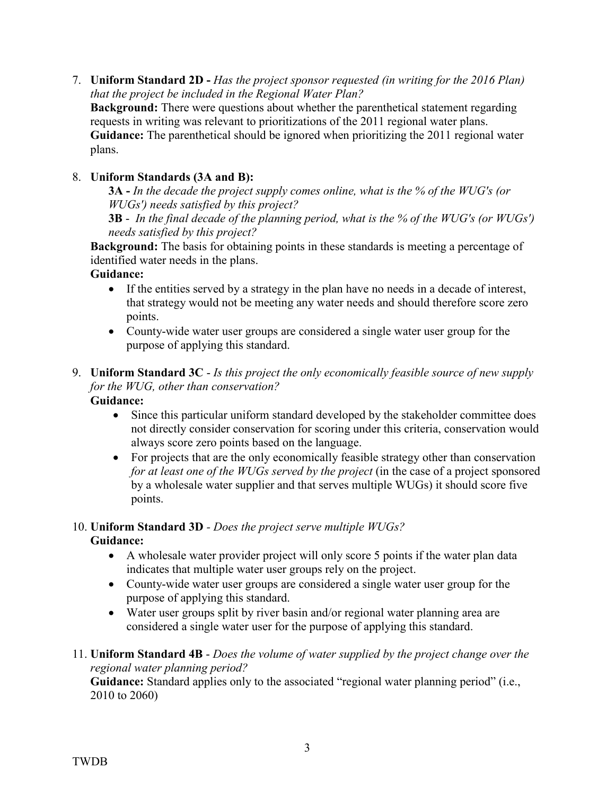7. **Uniform Standard 2D -** *Has the project sponsor requested (in writing for the 2016 Plan) that the project be included in the Regional Water Plan?*

**Background:** There were questions about whether the parenthetical statement regarding requests in writing was relevant to prioritizations of the 2011 regional water plans. **Guidance:** The parenthetical should be ignored when prioritizing the 2011 regional water plans.

# 8. **Uniform Standards (3A and B):**

**3A -** *In the decade the project supply comes online, what is the % of the WUG's (or WUGs') needs satisfied by this project?*

**3B** - *In the final decade of the planning period, what is the % of the WUG's (or WUGs') needs satisfied by this project?*

**Background:** The basis for obtaining points in these standards is meeting a percentage of identified water needs in the plans.

## **Guidance:**

- If the entities served by a strategy in the plan have no needs in a decade of interest, that strategy would not be meeting any water needs and should therefore score zero points.
- County-wide water user groups are considered a single water user group for the purpose of applying this standard.
- 9. **Uniform Standard 3C** *Is this project the only economically feasible source of new supply for the WUG, other than conservation?* **Guidance:**

- Since this particular uniform standard developed by the stakeholder committee does not directly consider conservation for scoring under this criteria, conservation would always score zero points based on the language.
- For projects that are the only economically feasible strategy other than conservation *for at least one of the WUGs served by the project* (in the case of a project sponsored by a wholesale water supplier and that serves multiple WUGs) it should score five points.

# 10. **Uniform Standard 3D** *- Does the project serve multiple WUGs?*

# **Guidance:**

- A wholesale water provider project will only score 5 points if the water plan data indicates that multiple water user groups rely on the project.
- County-wide water user groups are considered a single water user group for the purpose of applying this standard.
- Water user groups split by river basin and/or regional water planning area are considered a single water user for the purpose of applying this standard.
- 11. **Uniform Standard 4B** *Does the volume of water supplied by the project change over the regional water planning period?*

**Guidance:** Standard applies only to the associated "regional water planning period" (i.e., 2010 to 2060)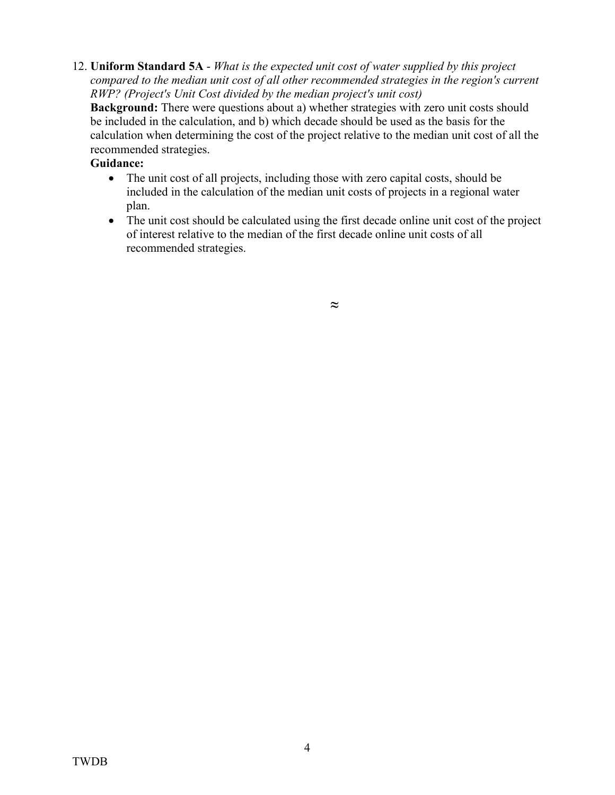12. **Uniform Standard 5A** - *What is the expected unit cost of water supplied by this project compared to the median unit cost of all other recommended strategies in the region's current RWP? (Project's Unit Cost divided by the median project's unit cost)*

**Background:** There were questions about a) whether strategies with zero unit costs should be included in the calculation, and b) which decade should be used as the basis for the calculation when determining the cost of the project relative to the median unit cost of all the recommended strategies.

# **Guidance:**

- The unit cost of all projects, including those with zero capital costs, should be included in the calculation of the median unit costs of projects in a regional water plan.
- The unit cost should be calculated using the first decade online unit cost of the project of interest relative to the median of the first decade online unit costs of all recommended strategies.

*≈*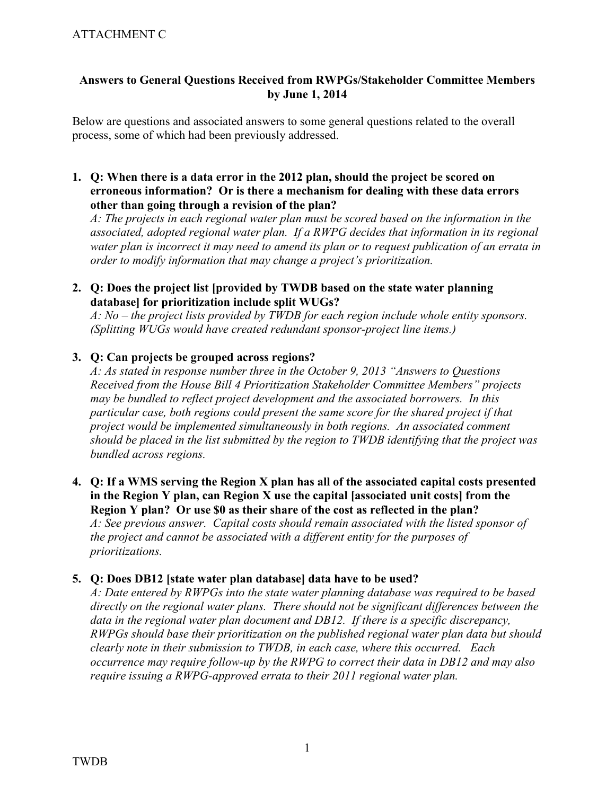# ATTACHMENT C

### **Answers to General Questions Received from RWPGs/Stakeholder Committee Members by June 1, 2014**

Below are questions and associated answers to some general questions related to the overall process, some of which had been previously addressed.

**1. Q: When there is a data error in the 2012 plan, should the project be scored on erroneous information? Or is there a mechanism for dealing with these data errors other than going through a revision of the plan?**

*A: The projects in each regional water plan must be scored based on the information in the associated, adopted regional water plan. If a RWPG decides that information in its regional water plan is incorrect it may need to amend its plan or to request publication of an errata in order to modify information that may change a project's prioritization.*

**2. Q: Does the project list [provided by TWDB based on the state water planning database] for prioritization include split WUGs?**

*A: No – the project lists provided by TWDB for each region include whole entity sponsors. (Splitting WUGs would have created redundant sponsor-project line items.)*

### **3. Q: Can projects be grouped across regions?**

*A: As stated in response number three in the October 9, 2013 "Answers to Questions Received from the House Bill 4 Prioritization Stakeholder Committee Members" projects may be bundled to reflect project development and the associated borrowers. In this particular case, both regions could present the same score for the shared project if that project would be implemented simultaneously in both regions. An associated comment should be placed in the list submitted by the region to TWDB identifying that the project was bundled across regions.*

**4. Q: If a WMS serving the Region X plan has all of the associated capital costs presented in the Region Y plan, can Region X use the capital [associated unit costs] from the Region Y plan? Or use \$0 as their share of the cost as reflected in the plan?** *A: See previous answer. Capital costs should remain associated with the listed sponsor of the project and cannot be associated with a different entity for the purposes of prioritizations.* 

#### **5. Q: Does DB12 [state water plan database] data have to be used?**

*A: Date entered by RWPGs into the state water planning database was required to be based directly on the regional water plans. There should not be significant differences between the data in the regional water plan document and DB12. If there is a specific discrepancy, RWPGs should base their prioritization on the published regional water plan data but should clearly note in their submission to TWDB, in each case, where this occurred. Each occurrence may require follow-up by the RWPG to correct their data in DB12 and may also require issuing a RWPG-approved errata to their 2011 regional water plan.*